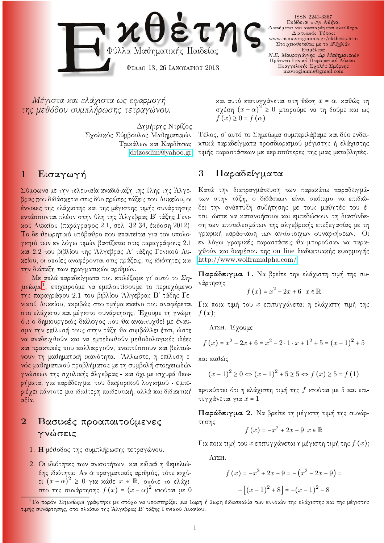

Μέγιστα και ελάγιστα ως εφαρμογή της μεθόδου συμπλήρωσης τετραγώνου.

> Δημήτρης Ντρίζος Σχολικός Σύμβουλος Μαθηματικών

## $1$  Eισαγωγή

Σύμφωνα με την τελευταία αναδιάταξη της ύλης της Άλγεβρας που διδάσχεται στις δύο πρώτες τάξεις του Λυχείου, οι έννοιες της ελάχιστης και της μέγιστης τιμής συνάρτησης εντάσσονται πλέον στην ύλη της Άλγεβρας Β' τάξης Γενικού Λυκείου (παράγραφος 2.1, σελ. 32-34, έκδοση 2012). To δε θεωρητικό υπόβαθρο που απαιτείται για τον υπολογισμό των εν λόγω τιμών βασίζεται στις παραγράφους 2.1 και 2.2 του βιβλίου της Άλγεβρας Α' τάξης Γενικού Λυκείου, οι οποίες αναφέρονται στις πράξεις, τις ιδιότητες και την διάταξη των πραγματικών αριθμών.

Με απλά παραδείγματα που επιλέξαμε γι' αυτό το  $\Sigma\eta$ - $\mu$ eno $\mu$ a, ent $\chi$ etoo $\mu$ e va e $\mu$ nvouttoo $\nu$ e to nepte $\chi$ o $\mu$ evo της παραγράφου 2.1 του βιβλίου Άλγεβρας Β' τάξης Γενικού Λυκείου, ακριβώς στο τμήμα εκείνο που αναφέρεται στο ελάχιστο και μέγιστο συνάρτησης. Έχουμε τη γνώμη <mark>ότι ο δημι</mark>ουργικός διάλογος που θα αναπτυχθεί με έναυσμα την επίλυσή τους στην τάξη θα συμβάλλει έτσι, ώστε να αναδειχθούν και να εμπεδωθούν μεθοδολογικές ιδέες και πρακτικές που καλλιεργούν, αναπτύσσουν και βελτιώνουν τη μαθηματική ικανότητα. Άλλωστε, η επίλυση ενός μαθηματικού προβλήματος με τη συμβολή στοιχειωδών γνώσεων της σχολικής άλγεβρας - και όχι με ισχυρά θεωρήματα, για παράδειγμα, του διαφοριχού λογισμού - εμπε-<mark>ριέχει πάν</mark>τοτε μια ιδιαίτερη παιδευτική, αλλά και διδακτική αξία.

## 2 Βασικές προαπαιτούμενες γνώσεις

- 1. Η μέθοδος της συμπλήρωσης τετραγώνου.
- 2. Οι ιδιότητες των ανισοτήτων, και ειδικά η θεμελιώδης ιδιότητα: Αν α πραγματικός αριθμός, τότε ισχύει  $(x - \alpha)^2$  ≥ 0 για κάθε  $x \in \mathbb{R}$ , οπότε το ελάχιστο της συνάρτησης  $f(x) = (x - \alpha)^2$  ισούται με θ

και αυτό επιτυγχάνεται στη θέση  $x = \alpha$ , καθώς τη σχέση  $(x - \alpha)^2 \ge 0$  μπορούμε να τη δούμε και ως  $f(x) \geq 0 = f(\alpha)$ 

tik paradegmata paradegmata prosessor na kardinale kai kardinale kan kardinale kan kardinale kan kardinale kan <drizosdim@yahoo.gr> τιμής παραστάσεων με περισσότερες της μιας μεταβλητές. - Τέλος, σ' αυτό το Σημείωμα συμπεριλάβαμε και δύο ενδει-

## Παραδείγματα 3

Κατά την διαπραγμάτευση των παρακάτω παραδειγμάτων στην τάξη, ο διδάσκων είναι σκόπιμο να επιδιώξει την ανάπτυξη συζήτησης με τους μαθητές του έτσι, ώστε να κατανοήσουν και εμπεδώσουν τη διασύνδεση των αποτελεσμάτων της αλγεβρικής επεξεγασίας με τη γραφική παράσταση των αντίστοιχων συναρτήσεων. Οι εν λόγω γραφικές παραστάσεις θα μπορούσαν να παραχθούν χαι διαμέσου της on line διαδιχτυαχής εφαρμογής <http://www.wolframalpha.com/>

Παράδειγμα 1. Να βρείτε την ελάχιστη τιμή της συνάρτησης

$$
f(x) = x^2 - 2x + 6 \quad x \in \mathbb{R}
$$

Για ποια τιμή του  $x$  επιτυγχάνεται η ελάχιστη τιμή της  $f(x)$ .

ΛΥΣΗ. Έχουμε

$$
f(x) = x2 - 2x + 6 = x2 - 2 \cdot 1 \cdot x + 12 + 5 = (x - 1)2 + 5
$$

και καθώς

$$
(x-1)^{2} \ge 0 \Leftrightarrow (x-1)^{2} + 5 \ge 5 \Leftrightarrow f(x) \ge 5 = f(1)
$$

προκύπτει ότι η ελάχιστη τιμή της  $f$  ισούται με 5 και επιτυγγάνεται για  $x = 1$ 

Παράδειγμα 2. Να βρείτε τη μέγιστη τιμή της συνάρτησης

$$
f(x) = -x^2 + 2x - 9 \, x \in \mathbb{R}
$$

Για ποια τιμή του  $x$  επιτυγχάνεται η μέγιστη τιμή της  $f(x)$ ;

 $\Lambda$  $\Sigma$ H.

$$
f(x) = -x^2 + 2x - 9 = -(x^2 - 2x + 9) = -[(x - 1)^2 + 8] = -(x - 1)^2 - 8
$$

<span id="page-0-0"></span>\_Το παρον *Σημειωμα γ*ραφτηχε με στοχο να υποστηριζει μια Ιωρη η Ζωρη οιοασχαλια των εννοιων της ελαχιστης χαι της μεγιστης τιμής συνάρτησης, στο πλαίσιο της Άλγεβρας Β' τάξης Γενικού Λυκείου.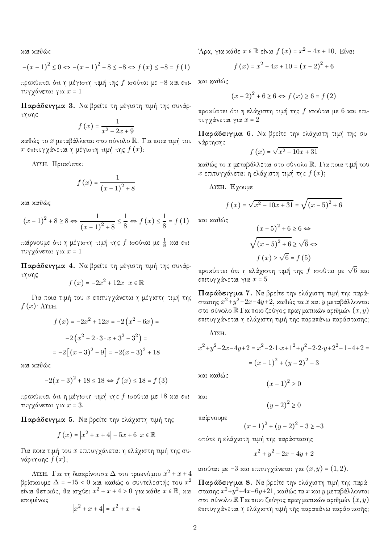και καθώς

$$
-(x-1)^{2} \le 0 \Leftrightarrow -(x-1)^{2} - 8 \le -8 \Leftrightarrow f(x) \le -8 = f(1)
$$

προχύπτει ότι η μέγιστη τιμή της  $f$  ισούται με -8 χαι επιτυγγάνεται για  $x = 1$ 

Παράδειγμα 3. Να βρείτε τη μέγιστη τιμή της συνάρτησης

$$
f\left(x\right) = \frac{1}{x^2 - 2x + 9}
$$

καθώς το  $x$  μεταβάλλεται στο σύνολο  $\mathbb R$ . Για ποια τιμή του x επιτυγχάνεται η μέγιστη τιμή της  $f(x)$ ;

ΛΥΣΗ. Προκύπτει

$$
f(x) = \frac{1}{(x-1)^2 + 8}
$$

και καθώς

$$
(x-1)^2 + 8 \ge 8 \Leftrightarrow \frac{1}{(x-1)^2 + 8} \le \frac{1}{8} \Leftrightarrow f(x) \le \frac{1}{8} = f(1)
$$

παίρνουμε ότι η μέγιστη τιμή της  $f$  ισούται με  $\frac{1}{8}$  χαι επιτυγγάνεται για  $x = 1$ 

Παράδειγμα 4. Να βρείτε τη μέγιστη τιμή της συνάρτησης

$$
f(x) = -2x^2 + 12x \quad x \in \mathbb{R}
$$

Για ποια τιμή του  $x$  επιτυγχάνεται η μέγιστη τιμή της  $f(x)$   $\Lambda$ YEH.

$$
f(x) = -2x^{2} + 12x = -2(x^{2} - 6x) =
$$

$$
-2(x^{2} - 2 \cdot 3 \cdot x + 3^{2} - 3^{2}) =
$$

$$
= -2[(x - 3)^{2} - 9] = -2(x - 3)^{2} + 18
$$

και καθώς

$$
-2(x-3)^{2} + 18 \le 18 \Leftrightarrow f(x) \le 18 = f(3)
$$

προχύπτει ότι η μέγιστη τιμή της  $f$  ισούται με 18 χαι επιτυγγάνεται για  $x = 3$ .

Παράδειγμα 5. Να βρείτε την ελάχιστη τιμή της

$$
f(x) = |x^2 + x + 4| - 5x + 6 \, x \in \mathbb{R}
$$

Για ποια τιμή του  $x$  επιτυγγάνεται η ελάγιστη τιμή της συνάρτησης  $f(x)$ ;

 $\Lambda$ ΥΣΗ. Για τη διαχρίνουσα  $\Delta$  του τριωνύμου  $x^2 + x + 4$ βρίσχουμε  $\Delta = -15 < 0$  χαι χαθώς ο συντελεστής του  $x^2$ είναι θετικός, θα ισχύει  $x^2 + x + 4 > 0$  για κάθε  $x \in \mathbb{R}$ , και επομένως

$$
|x^2 + x + 4| = x^2 + x + 4
$$

'Άρα, για κάθε  $x \in \mathbb{R}$  είναι  $f(x) = x^2 - 4x + 10$ . Είναι

$$
f(x) = x^2 - 4x + 10 = (x - 2)^2 + 6
$$

και καθώς

$$
(x-2)^{2} + 6 \ge 6 \Leftrightarrow f(x) \ge 6 = f(2)
$$

προχύπτει ότι η ελάχιστη τιμή της  $f$  ισούται με 6 και επιτυγγάνεται για  $x = 2$ 

Παράδειγμα 6. Να βρείτε την ελάχιστη τιμή της συνάρτησης

$$
f\left(x\right) = \sqrt{x^2 - 10x + 31}
$$

καθώς το  $x$  μεταβάλλεται στο σύνολο  $\mathbb{R}$ . Για ποια τιμή του x επιτυγχάνεται η ελάχιστη τιμή της  $f(x)$ ;

ΛΥΣΗ. Έγουμε

$$
f(x) = \sqrt{x^2 - 10x + 31} = \sqrt{(x - 5)^2 + 6}
$$

και καθώς

$$
(x-5)^2 + 6 \ge 6 \Leftrightarrow
$$
  

$$
\sqrt{(x-5)^2 + 6} \ge \sqrt{6} \Leftrightarrow
$$
  

$$
f(x) \ge \sqrt{6} = f(5)
$$

προχύπτει ότι η ελάχιστη τιμή της  $f$  ισούται με  $\sqrt{6}$  χαι επιτυγγάνεται για  $x = 5$ 

Παράδειγμα 7. Να βρείτε την ελάχιστη τιμή της παράστασης  $x^2$ + $y^2$ −2x−4y+2, καθώς τα x και  $y$  μεταβάλλονται στο σύνολο  $\mathbb R$  Για ποιο ζεύγος πραγματικών αριθμών  $(x,y)$ επιτυγχάνεται η ελάχιστη τιμή της παραπάνω παράστασης;

 $\Lambda$  $\Sigma$ H.

$$
x^{2}+y^{2}-2x-4y+2 = x^{2}-2 \cdot 1 \cdot x+1^{2}+y^{2}-2 \cdot 2 \cdot y+2^{2}-1-4+2 =
$$

$$
= (x-1)^{2}+(y-2)^{2}-3
$$

και καθώς

 $(x - 1)^2 \ge 0$ 

$$
(y-2)^2 \ge 0
$$

παίρνουμε

 $201$ 

$$
(x-1)^2 + (y-2)^2 - 3 \ge -3
$$

οπότε η ελάχιστη τιμή της παράστασης

$$
x^2 + y^2 - 2x - 4y + 2
$$

ισούται με −3 και επιτυγχάνεται για  $(x, y)$  =  $(1, 2)$ .

Παράδειγμα 8. Να βρείτε την ελάχιστη τιμή της παράστασης  $x^2$ + $y^2$ + $4x$ – $6y$ + $21$ , καθώς τα  $x$  και  $y$  μεταβάλλονται στο σύνολο  $\mathbb R$  Για ποιο ζεύγος πραγματικών αριθμών  $(x,y)$ επιτυγγάνεται η ελάγιστη τιμή της παραπάνω παράστασης;